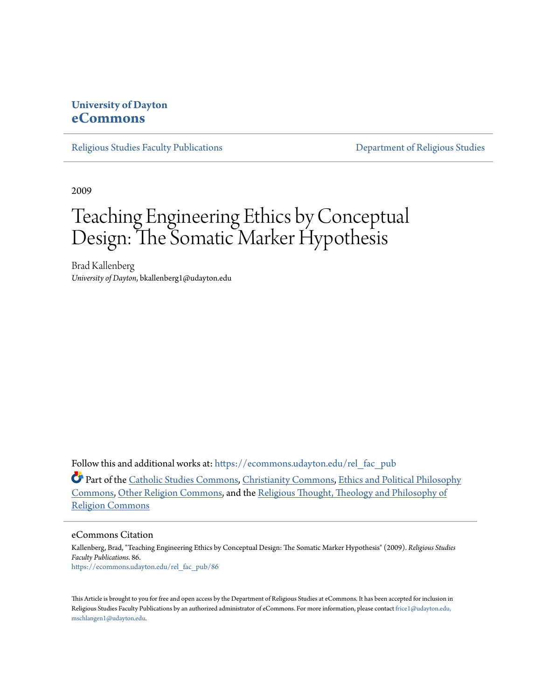### **University of Dayton [eCommons](https://ecommons.udayton.edu?utm_source=ecommons.udayton.edu%2Frel_fac_pub%2F86&utm_medium=PDF&utm_campaign=PDFCoverPages)**

[Religious Studies Faculty Publications](https://ecommons.udayton.edu/rel_fac_pub?utm_source=ecommons.udayton.edu%2Frel_fac_pub%2F86&utm_medium=PDF&utm_campaign=PDFCoverPages) **[Department of Religious Studies](https://ecommons.udayton.edu/rel?utm_source=ecommons.udayton.edu%2Frel_fac_pub%2F86&utm_medium=PDF&utm_campaign=PDFCoverPages)** 

2009

# Teaching Engineering Ethics by Conceptual Design: The Somatic Marker Hypothesis

Brad Kallenberg *University of Dayton*, bkallenberg1@udayton.edu

Follow this and additional works at: [https://ecommons.udayton.edu/rel\\_fac\\_pub](https://ecommons.udayton.edu/rel_fac_pub?utm_source=ecommons.udayton.edu%2Frel_fac_pub%2F86&utm_medium=PDF&utm_campaign=PDFCoverPages)

Part of the [Catholic Studies Commons,](http://network.bepress.com/hgg/discipline/1294?utm_source=ecommons.udayton.edu%2Frel_fac_pub%2F86&utm_medium=PDF&utm_campaign=PDFCoverPages) [Christianity Commons](http://network.bepress.com/hgg/discipline/1181?utm_source=ecommons.udayton.edu%2Frel_fac_pub%2F86&utm_medium=PDF&utm_campaign=PDFCoverPages), [Ethics and Political Philosophy](http://network.bepress.com/hgg/discipline/529?utm_source=ecommons.udayton.edu%2Frel_fac_pub%2F86&utm_medium=PDF&utm_campaign=PDFCoverPages) [Commons,](http://network.bepress.com/hgg/discipline/529?utm_source=ecommons.udayton.edu%2Frel_fac_pub%2F86&utm_medium=PDF&utm_campaign=PDFCoverPages) [Other Religion Commons](http://network.bepress.com/hgg/discipline/545?utm_source=ecommons.udayton.edu%2Frel_fac_pub%2F86&utm_medium=PDF&utm_campaign=PDFCoverPages), and the [Religious Thought, Theology and Philosophy of](http://network.bepress.com/hgg/discipline/544?utm_source=ecommons.udayton.edu%2Frel_fac_pub%2F86&utm_medium=PDF&utm_campaign=PDFCoverPages) [Religion Commons](http://network.bepress.com/hgg/discipline/544?utm_source=ecommons.udayton.edu%2Frel_fac_pub%2F86&utm_medium=PDF&utm_campaign=PDFCoverPages)

#### eCommons Citation

Kallenberg, Brad, "Teaching Engineering Ethics by Conceptual Design: The Somatic Marker Hypothesis" (2009). *Religious Studies Faculty Publications*. 86. [https://ecommons.udayton.edu/rel\\_fac\\_pub/86](https://ecommons.udayton.edu/rel_fac_pub/86?utm_source=ecommons.udayton.edu%2Frel_fac_pub%2F86&utm_medium=PDF&utm_campaign=PDFCoverPages)

This Article is brought to you for free and open access by the Department of Religious Studies at eCommons. It has been accepted for inclusion in Religious Studies Faculty Publications by an authorized administrator of eCommons. For more information, please contact [frice1@udayton.edu,](mailto:frice1@udayton.edu,%20mschlangen1@udayton.edu) [mschlangen1@udayton.edu.](mailto:frice1@udayton.edu,%20mschlangen1@udayton.edu)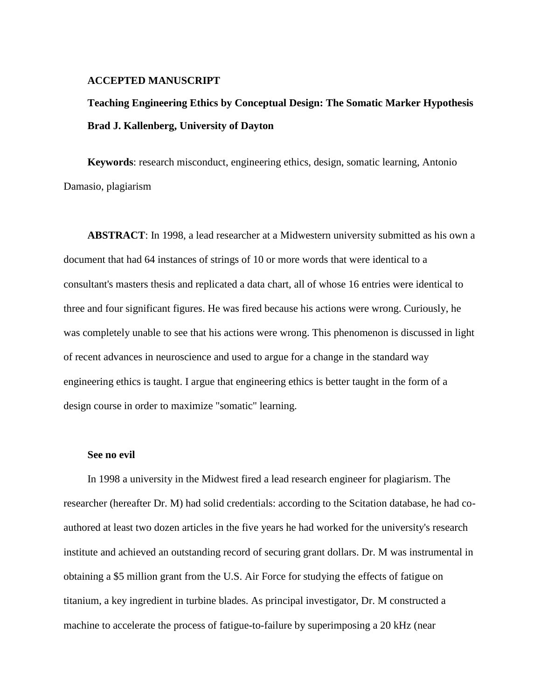#### **ACCEPTED MANUSCRIPT**

## **Teaching Engineering Ethics by Conceptual Design: The Somatic Marker Hypothesis Brad J. Kallenberg, University of Dayton**

**Keywords**: research misconduct, engineering ethics, design, somatic learning, Antonio Damasio, plagiarism

**ABSTRACT**: In 1998, a lead researcher at a Midwestern university submitted as his own a document that had 64 instances of strings of 10 or more words that were identical to a consultant's masters thesis and replicated a data chart, all of whose 16 entries were identical to three and four significant figures. He was fired because his actions were wrong. Curiously, he was completely unable to see that his actions were wrong. This phenomenon is discussed in light of recent advances in neuroscience and used to argue for a change in the standard way engineering ethics is taught. I argue that engineering ethics is better taught in the form of a design course in order to maximize "somatic" learning.

#### **See no evil**

In 1998 a university in the Midwest fired a lead research engineer for plagiarism. The researcher (hereafter Dr. M) had solid credentials: according to the Scitation database, he had coauthored at least two dozen articles in the five years he had worked for the university's research institute and achieved an outstanding record of securing grant dollars. Dr. M was instrumental in obtaining a \$5 million grant from the U.S. Air Force for studying the effects of fatigue on titanium, a key ingredient in turbine blades. As principal investigator, Dr. M constructed a machine to accelerate the process of fatigue-to-failure by superimposing a 20 kHz (near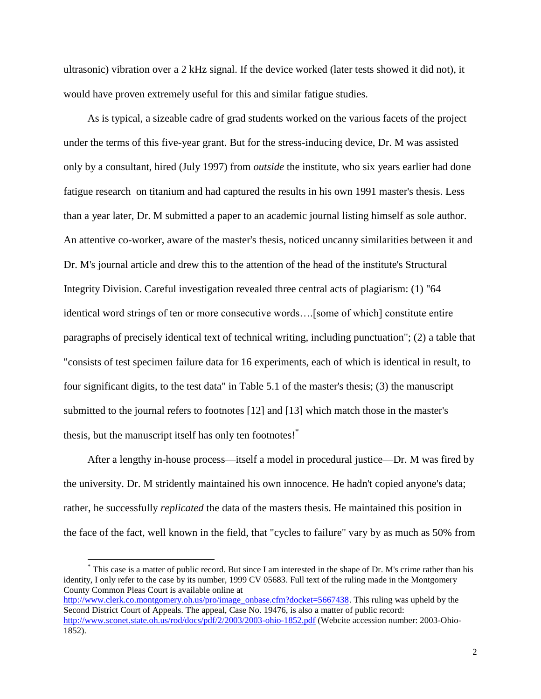ultrasonic) vibration over a 2 kHz signal. If the device worked (later tests showed it did not), it would have proven extremely useful for this and similar fatigue studies.

As is typical, a sizeable cadre of grad students worked on the various facets of the project under the terms of this five-year grant. But for the stress-inducing device, Dr. M was assisted only by a consultant, hired (July 1997) from *outside* the institute, who six years earlier had done fatigue research on titanium and had captured the results in his own 1991 master's thesis. Less than a year later, Dr. M submitted a paper to an academic journal listing himself as sole author. An attentive co-worker, aware of the master's thesis, noticed uncanny similarities between it and Dr. M's journal article and drew this to the attention of the head of the institute's Structural Integrity Division. Careful investigation revealed three central acts of plagiarism: (1) "64 identical word strings of ten or more consecutive words….[some of which] constitute entire paragraphs of precisely identical text of technical writing, including punctuation"; (2) a table that "consists of test specimen failure data for 16 experiments, each of which is identical in result, to four significant digits, to the test data" in Table 5.1 of the master's thesis; (3) the manuscript submitted to the journal refers to footnotes [12] and [13] which match those in the master's thesis, but the manuscript itself has only ten footnotes!<sup>\*</sup>

After a lengthy in-house process—itself a model in procedural justice—Dr. M was fired by the university. Dr. M stridently maintained his own innocence. He hadn't copied anyone's data; rather, he successfully *replicated* the data of the masters thesis. He maintained this position in the face of the fact, well known in the field, that "cycles to failure" vary by as much as 50% from

 $\overline{a}$ 

<sup>\*</sup> This case is a matter of public record. But since I am interested in the shape of Dr. M's crime rather than his identity, I only refer to the case by its number, 1999 CV 05683. Full text of the ruling made in the Montgomery County Common Pleas Court is available online at [http://www.clerk.co.montgomery.oh.us/pro/image\\_onbase.cfm?docket=5667438.](http://www.clerk.co.montgomery.oh.us/pro/image_onbase.cfm?docket=5667438) This ruling was upheld by the Second District Court of Appeals. The appeal, Case No. 19476, is also a matter of public record:

<http://www.sconet.state.oh.us/rod/docs/pdf/2/2003/2003-ohio-1852.pdf> (Webcite accession number: 2003-Ohio-1852).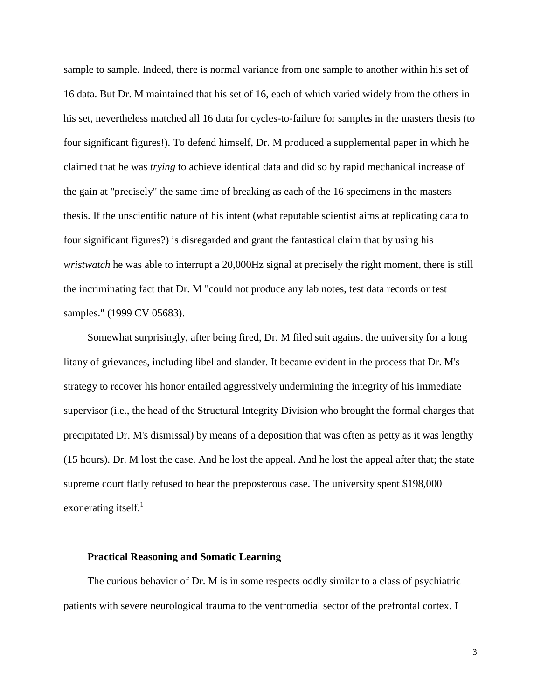sample to sample. Indeed, there is normal variance from one sample to another within his set of 16 data. But Dr. M maintained that his set of 16, each of which varied widely from the others in his set, nevertheless matched all 16 data for cycles-to-failure for samples in the masters thesis (to four significant figures!). To defend himself, Dr. M produced a supplemental paper in which he claimed that he was *trying* to achieve identical data and did so by rapid mechanical increase of the gain at "precisely" the same time of breaking as each of the 16 specimens in the masters thesis. If the unscientific nature of his intent (what reputable scientist aims at replicating data to four significant figures?) is disregarded and grant the fantastical claim that by using his *wristwatch* he was able to interrupt a 20,000Hz signal at precisely the right moment, there is still the incriminating fact that Dr. M "could not produce any lab notes, test data records or test samples." (1999 CV 05683).

Somewhat surprisingly, after being fired, Dr. M filed suit against the university for a long litany of grievances, including libel and slander. It became evident in the process that Dr. M's strategy to recover his honor entailed aggressively undermining the integrity of his immediate supervisor (i.e., the head of the Structural Integrity Division who brought the formal charges that precipitated Dr. M's dismissal) by means of a deposition that was often as petty as it was lengthy (15 hours). Dr. M lost the case. And he lost the appeal. And he lost the appeal after that; the state supreme court flatly refused to hear the preposterous case. The university spent \$198,000 exonerating itself. $<sup>1</sup>$ </sup>

#### **Practical Reasoning and Somatic Learning**

The curious behavior of Dr. M is in some respects oddly similar to a class of psychiatric patients with severe neurological trauma to the ventromedial sector of the prefrontal cortex. I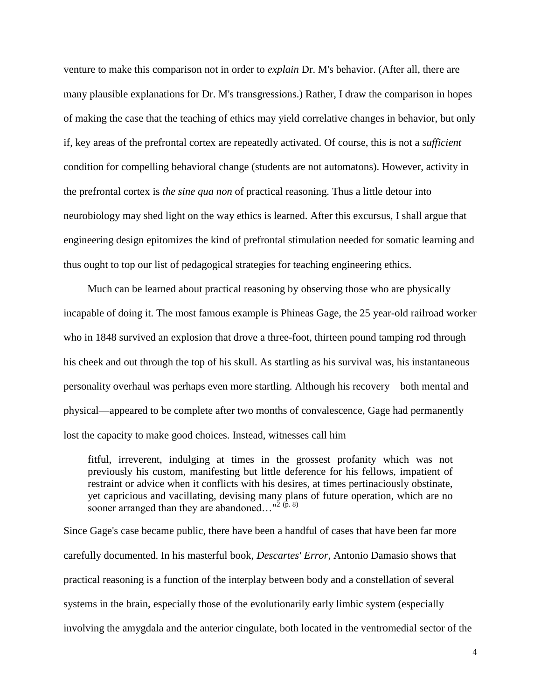venture to make this comparison not in order to *explain* Dr. M's behavior. (After all, there are many plausible explanations for Dr. M's transgressions.) Rather, I draw the comparison in hopes of making the case that the teaching of ethics may yield correlative changes in behavior, but only if, key areas of the prefrontal cortex are repeatedly activated. Of course, this is not a *sufficient* condition for compelling behavioral change (students are not automatons). However, activity in the prefrontal cortex is *the sine qua non* of practical reasoning. Thus a little detour into neurobiology may shed light on the way ethics is learned. After this excursus, I shall argue that engineering design epitomizes the kind of prefrontal stimulation needed for somatic learning and thus ought to top our list of pedagogical strategies for teaching engineering ethics.

Much can be learned about practical reasoning by observing those who are physically incapable of doing it. The most famous example is Phineas Gage, the 25 year-old railroad worker who in 1848 survived an explosion that drove a three-foot, thirteen pound tamping rod through his cheek and out through the top of his skull. As startling as his survival was, his instantaneous personality overhaul was perhaps even more startling. Although his recovery—both mental and physical—appeared to be complete after two months of convalescence, Gage had permanently lost the capacity to make good choices. Instead, witnesses call him

fitful, irreverent, indulging at times in the grossest profanity which was not previously his custom, manifesting but little deference for his fellows, impatient of restraint or advice when it conflicts with his desires, at times pertinaciously obstinate, yet capricious and vacillating, devising many plans of future operation, which are no sooner arranged than they are abandoned..."<sup>2  $(\bar{p}, 8)$ </sup>

Since Gage's case became public, there have been a handful of cases that have been far more carefully documented. In his masterful book, *Descartes' Error*, Antonio Damasio shows that practical reasoning is a function of the interplay between body and a constellation of several systems in the brain, especially those of the evolutionarily early limbic system (especially involving the amygdala and the anterior cingulate, both located in the ventromedial sector of the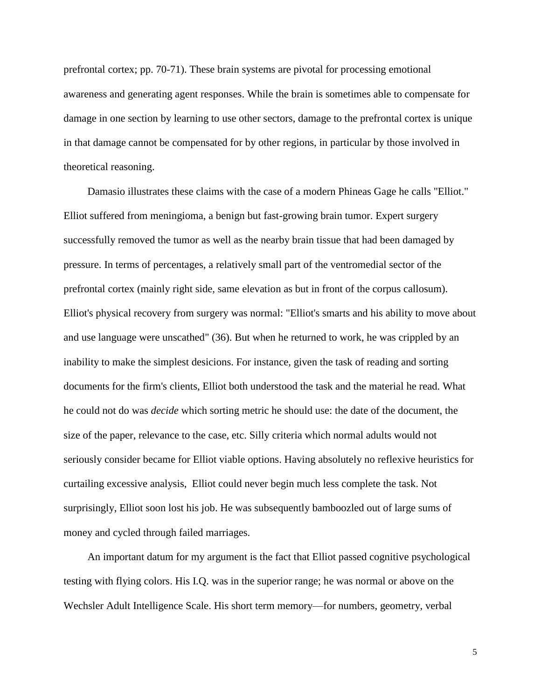prefrontal cortex; pp. 70-71). These brain systems are pivotal for processing emotional awareness and generating agent responses. While the brain is sometimes able to compensate for damage in one section by learning to use other sectors, damage to the prefrontal cortex is unique in that damage cannot be compensated for by other regions, in particular by those involved in theoretical reasoning.

Damasio illustrates these claims with the case of a modern Phineas Gage he calls "Elliot." Elliot suffered from meningioma, a benign but fast-growing brain tumor. Expert surgery successfully removed the tumor as well as the nearby brain tissue that had been damaged by pressure. In terms of percentages, a relatively small part of the ventromedial sector of the prefrontal cortex (mainly right side, same elevation as but in front of the corpus callosum). Elliot's physical recovery from surgery was normal: "Elliot's smarts and his ability to move about and use language were unscathed" (36). But when he returned to work, he was crippled by an inability to make the simplest desicions. For instance, given the task of reading and sorting documents for the firm's clients, Elliot both understood the task and the material he read. What he could not do was *decide* which sorting metric he should use: the date of the document, the size of the paper, relevance to the case, etc. Silly criteria which normal adults would not seriously consider became for Elliot viable options. Having absolutely no reflexive heuristics for curtailing excessive analysis, Elliot could never begin much less complete the task. Not surprisingly, Elliot soon lost his job. He was subsequently bamboozled out of large sums of money and cycled through failed marriages.

An important datum for my argument is the fact that Elliot passed cognitive psychological testing with flying colors. His I.Q. was in the superior range; he was normal or above on the Wechsler Adult Intelligence Scale. His short term memory—for numbers, geometry, verbal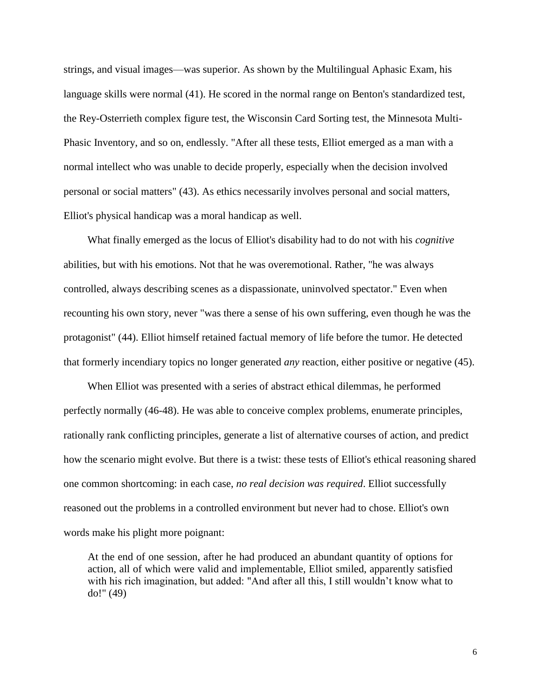strings, and visual images—was superior. As shown by the Multilingual Aphasic Exam, his language skills were normal (41). He scored in the normal range on Benton's standardized test, the Rey-Osterrieth complex figure test, the Wisconsin Card Sorting test, the Minnesota Multi-Phasic Inventory, and so on, endlessly. "After all these tests, Elliot emerged as a man with a normal intellect who was unable to decide properly, especially when the decision involved personal or social matters" (43). As ethics necessarily involves personal and social matters, Elliot's physical handicap was a moral handicap as well.

What finally emerged as the locus of Elliot's disability had to do not with his *cognitive* abilities, but with his emotions. Not that he was overemotional. Rather, "he was always controlled, always describing scenes as a dispassionate, uninvolved spectator." Even when recounting his own story, never "was there a sense of his own suffering, even though he was the protagonist" (44). Elliot himself retained factual memory of life before the tumor. He detected that formerly incendiary topics no longer generated *any* reaction, either positive or negative (45).

When Elliot was presented with a series of abstract ethical dilemmas, he performed perfectly normally (46-48). He was able to conceive complex problems, enumerate principles, rationally rank conflicting principles, generate a list of alternative courses of action, and predict how the scenario might evolve. But there is a twist: these tests of Elliot's ethical reasoning shared one common shortcoming: in each case, *no real decision was required*. Elliot successfully reasoned out the problems in a controlled environment but never had to chose. Elliot's own words make his plight more poignant:

At the end of one session, after he had produced an abundant quantity of options for action, all of which were valid and implementable, Elliot smiled, apparently satisfied with his rich imagination, but added: "And after all this, I still wouldn't know what to do!" (49)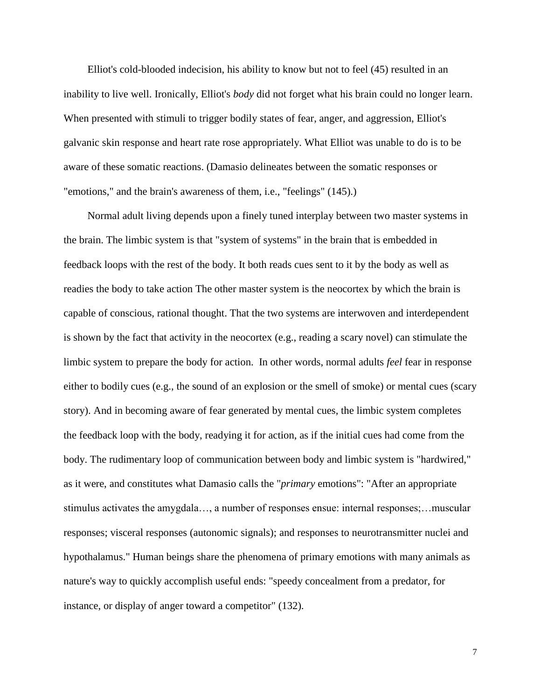Elliot's cold-blooded indecision, his ability to know but not to feel (45) resulted in an inability to live well. Ironically, Elliot's *body* did not forget what his brain could no longer learn. When presented with stimuli to trigger bodily states of fear, anger, and aggression, Elliot's galvanic skin response and heart rate rose appropriately. What Elliot was unable to do is to be aware of these somatic reactions. (Damasio delineates between the somatic responses or "emotions," and the brain's awareness of them, i.e., "feelings" (145).)

Normal adult living depends upon a finely tuned interplay between two master systems in the brain. The limbic system is that "system of systems" in the brain that is embedded in feedback loops with the rest of the body. It both reads cues sent to it by the body as well as readies the body to take action The other master system is the neocortex by which the brain is capable of conscious, rational thought. That the two systems are interwoven and interdependent is shown by the fact that activity in the neocortex (e.g., reading a scary novel) can stimulate the limbic system to prepare the body for action. In other words, normal adults *feel* fear in response either to bodily cues (e.g., the sound of an explosion or the smell of smoke) or mental cues (scary story). And in becoming aware of fear generated by mental cues, the limbic system completes the feedback loop with the body, readying it for action, as if the initial cues had come from the body. The rudimentary loop of communication between body and limbic system is "hardwired," as it were, and constitutes what Damasio calls the "*primary* emotions": "After an appropriate stimulus activates the amygdala…, a number of responses ensue: internal responses;...muscular responses; visceral responses (autonomic signals); and responses to neurotransmitter nuclei and hypothalamus." Human beings share the phenomena of primary emotions with many animals as nature's way to quickly accomplish useful ends: "speedy concealment from a predator, for instance, or display of anger toward a competitor" (132).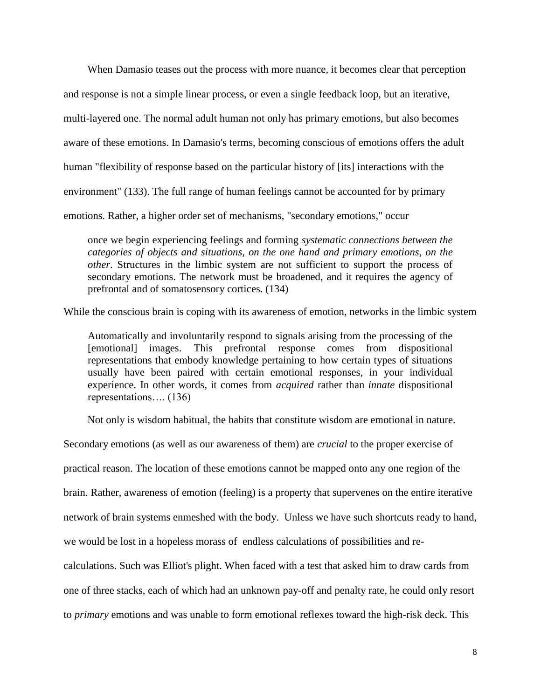When Damasio teases out the process with more nuance, it becomes clear that perception and response is not a simple linear process, or even a single feedback loop, but an iterative, multi-layered one. The normal adult human not only has primary emotions, but also becomes aware of these emotions. In Damasio's terms, becoming conscious of emotions offers the adult human "flexibility of response based on the particular history of [its] interactions with the environment" (133). The full range of human feelings cannot be accounted for by primary emotions. Rather, a higher order set of mechanisms, "secondary emotions," occur

once we begin experiencing feelings and forming *systematic connections between the categories of objects and situations, on the one hand and primary emotions, on the other*. Structures in the limbic system are not sufficient to support the process of secondary emotions. The network must be broadened, and it requires the agency of prefrontal and of somatosensory cortices. (134)

While the conscious brain is coping with its awareness of emotion, networks in the limbic system

Automatically and involuntarily respond to signals arising from the processing of the [emotional] images. This prefrontal response comes from dispositional representations that embody knowledge pertaining to how certain types of situations usually have been paired with certain emotional responses, in your individual experience. In other words, it comes from *acquired* rather than *innate* dispositional representations…. (136)

Not only is wisdom habitual, the habits that constitute wisdom are emotional in nature.

Secondary emotions (as well as our awareness of them) are *crucial* to the proper exercise of

practical reason. The location of these emotions cannot be mapped onto any one region of the

brain. Rather, awareness of emotion (feeling) is a property that supervenes on the entire iterative

network of brain systems enmeshed with the body. Unless we have such shortcuts ready to hand,

we would be lost in a hopeless morass of endless calculations of possibilities and re-

calculations. Such was Elliot's plight. When faced with a test that asked him to draw cards from

one of three stacks, each of which had an unknown pay-off and penalty rate, he could only resort

to *primary* emotions and was unable to form emotional reflexes toward the high-risk deck. This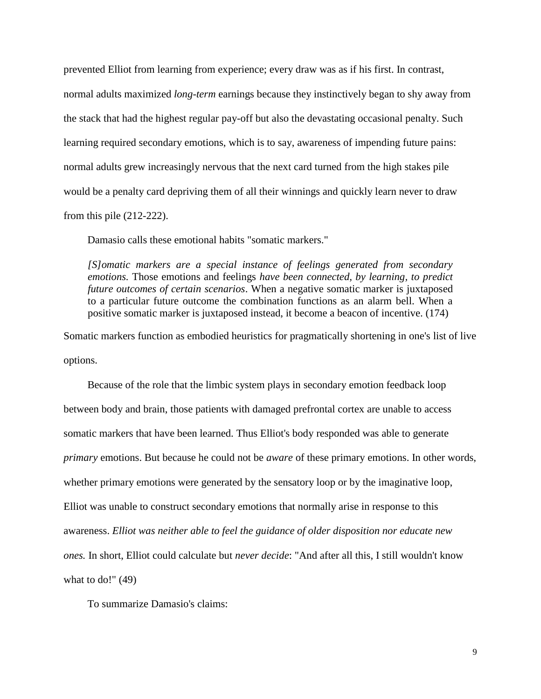prevented Elliot from learning from experience; every draw was as if his first. In contrast, normal adults maximized *long-term* earnings because they instinctively began to shy away from the stack that had the highest regular pay-off but also the devastating occasional penalty. Such learning required secondary emotions, which is to say, awareness of impending future pains: normal adults grew increasingly nervous that the next card turned from the high stakes pile would be a penalty card depriving them of all their winnings and quickly learn never to draw from this pile (212-222).

Damasio calls these emotional habits "somatic markers."

*[S]omatic markers are a special instance of feelings generated from secondary emotions.* Those emotions and feelings *have been connected, by learning, to predict future outcomes of certain scenarios*. When a negative somatic marker is juxtaposed to a particular future outcome the combination functions as an alarm bell. When a positive somatic marker is juxtaposed instead, it become a beacon of incentive. (174)

Somatic markers function as embodied heuristics for pragmatically shortening in one's list of live options.

Because of the role that the limbic system plays in secondary emotion feedback loop between body and brain, those patients with damaged prefrontal cortex are unable to access somatic markers that have been learned. Thus Elliot's body responded was able to generate *primary* emotions. But because he could not be *aware* of these primary emotions. In other words, whether primary emotions were generated by the sensatory loop or by the imaginative loop, Elliot was unable to construct secondary emotions that normally arise in response to this awareness. *Elliot was neither able to feel the guidance of older disposition nor educate new ones.* In short, Elliot could calculate but *never decide*: "And after all this, I still wouldn't know what to do!" (49)

To summarize Damasio's claims: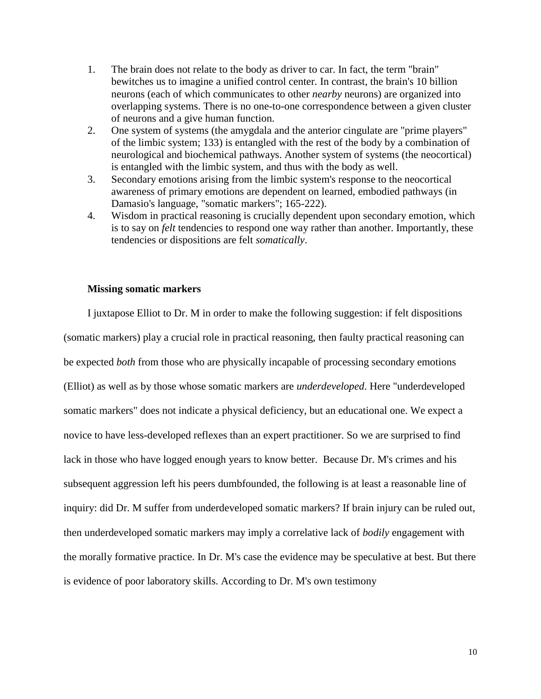- 1. The brain does not relate to the body as driver to car. In fact, the term "brain" bewitches us to imagine a unified control center. In contrast, the brain's 10 billion neurons (each of which communicates to other *nearby* neurons) are organized into overlapping systems. There is no one-to-one correspondence between a given cluster of neurons and a give human function.
- 2. One system of systems (the amygdala and the anterior cingulate are "prime players" of the limbic system; 133) is entangled with the rest of the body by a combination of neurological and biochemical pathways. Another system of systems (the neocortical) is entangled with the limbic system, and thus with the body as well.
- 3. Secondary emotions arising from the limbic system's response to the neocortical awareness of primary emotions are dependent on learned, embodied pathways (in Damasio's language, "somatic markers"; 165-222).
- 4. Wisdom in practical reasoning is crucially dependent upon secondary emotion, which is to say on *felt* tendencies to respond one way rather than another. Importantly, these tendencies or dispositions are felt *somatically*.

#### **Missing somatic markers**

I juxtapose Elliot to Dr. M in order to make the following suggestion: if felt dispositions (somatic markers) play a crucial role in practical reasoning, then faulty practical reasoning can be expected *both* from those who are physically incapable of processing secondary emotions (Elliot) as well as by those whose somatic markers are *underdeveloped*. Here "underdeveloped somatic markers" does not indicate a physical deficiency, but an educational one. We expect a novice to have less-developed reflexes than an expert practitioner. So we are surprised to find lack in those who have logged enough years to know better. Because Dr. M's crimes and his subsequent aggression left his peers dumbfounded, the following is at least a reasonable line of inquiry: did Dr. M suffer from underdeveloped somatic markers? If brain injury can be ruled out, then underdeveloped somatic markers may imply a correlative lack of *bodily* engagement with the morally formative practice. In Dr. M's case the evidence may be speculative at best. But there is evidence of poor laboratory skills. According to Dr. M's own testimony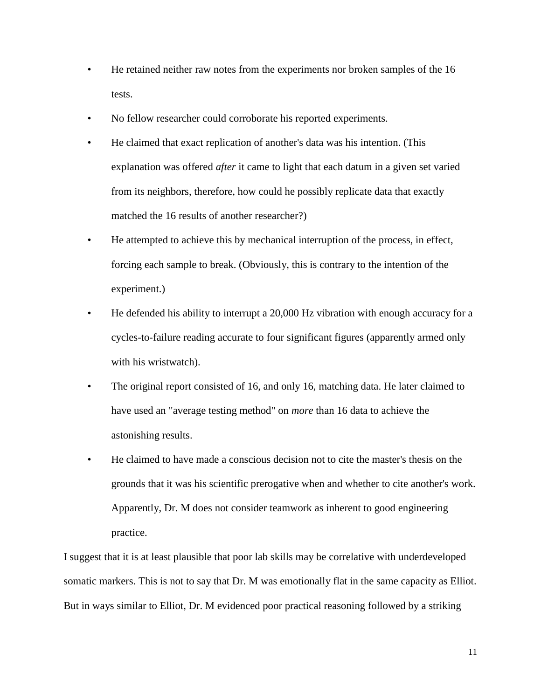- He retained neither raw notes from the experiments nor broken samples of the 16 tests.
- No fellow researcher could corroborate his reported experiments.
- He claimed that exact replication of another's data was his intention. (This explanation was offered *after* it came to light that each datum in a given set varied from its neighbors, therefore, how could he possibly replicate data that exactly matched the 16 results of another researcher?)
- He attempted to achieve this by mechanical interruption of the process, in effect, forcing each sample to break. (Obviously, this is contrary to the intention of the experiment.)
- He defended his ability to interrupt a 20,000 Hz vibration with enough accuracy for a cycles-to-failure reading accurate to four significant figures (apparently armed only with his wristwatch).
- The original report consisted of 16, and only 16, matching data. He later claimed to have used an "average testing method" on *more* than 16 data to achieve the astonishing results.
- He claimed to have made a conscious decision not to cite the master's thesis on the grounds that it was his scientific prerogative when and whether to cite another's work. Apparently, Dr. M does not consider teamwork as inherent to good engineering practice.

I suggest that it is at least plausible that poor lab skills may be correlative with underdeveloped somatic markers. This is not to say that Dr. M was emotionally flat in the same capacity as Elliot. But in ways similar to Elliot, Dr. M evidenced poor practical reasoning followed by a striking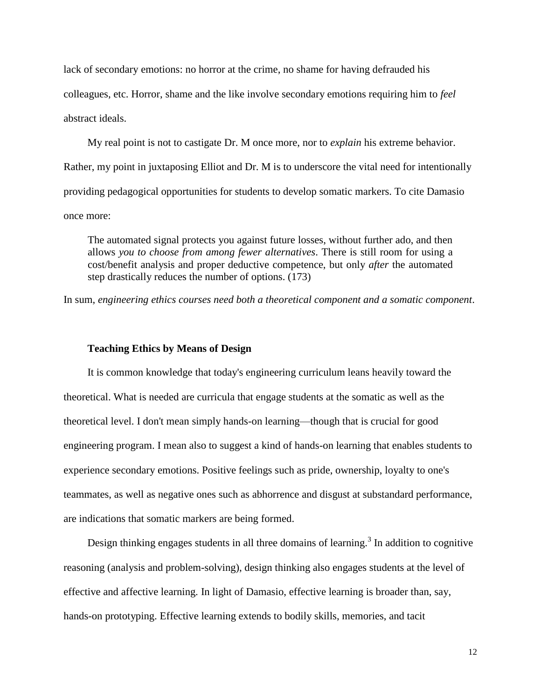lack of secondary emotions: no horror at the crime, no shame for having defrauded his colleagues, etc. Horror, shame and the like involve secondary emotions requiring him to *feel* abstract ideals.

My real point is not to castigate Dr. M once more, nor to *explain* his extreme behavior. Rather, my point in juxtaposing Elliot and Dr. M is to underscore the vital need for intentionally providing pedagogical opportunities for students to develop somatic markers. To cite Damasio once more:

The automated signal protects you against future losses, without further ado, and then allows *you to choose from among fewer alternatives*. There is still room for using a cost/benefit analysis and proper deductive competence, but only *after* the automated step drastically reduces the number of options. (173)

In sum, *engineering ethics courses need both a theoretical component and a somatic component*.

#### **Teaching Ethics by Means of Design**

It is common knowledge that today's engineering curriculum leans heavily toward the theoretical. What is needed are curricula that engage students at the somatic as well as the theoretical level. I don't mean simply hands-on learning—though that is crucial for good engineering program. I mean also to suggest a kind of hands-on learning that enables students to experience secondary emotions. Positive feelings such as pride, ownership, loyalty to one's teammates, as well as negative ones such as abhorrence and disgust at substandard performance, are indications that somatic markers are being formed.

Design thinking engages students in all three domains of learning.<sup>3</sup> In addition to cognitive reasoning (analysis and problem-solving), design thinking also engages students at the level of effective and affective learning. In light of Damasio, effective learning is broader than, say, hands-on prototyping. Effective learning extends to bodily skills, memories, and tacit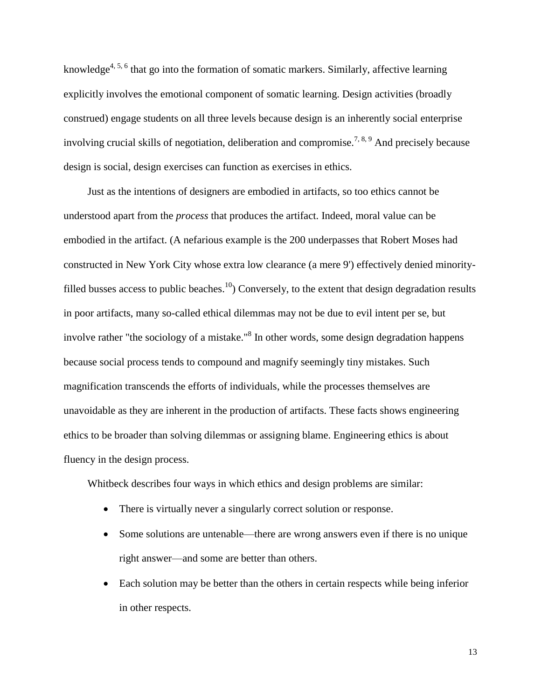knowledge<sup>4, 5, 6</sup> that go into the formation of somatic markers. Similarly, affective learning explicitly involves the emotional component of somatic learning. Design activities (broadly construed) engage students on all three levels because design is an inherently social enterprise involving crucial skills of negotiation, deliberation and compromise.<sup>7, 8, 9</sup> And precisely because design is social, design exercises can function as exercises in ethics.

Just as the intentions of designers are embodied in artifacts, so too ethics cannot be understood apart from the *process* that produces the artifact. Indeed, moral value can be embodied in the artifact. (A nefarious example is the 200 underpasses that Robert Moses had constructed in New York City whose extra low clearance (a mere 9') effectively denied minorityfilled busses access to public beaches.<sup>10</sup>) Conversely, to the extent that design degradation results in poor artifacts, many so-called ethical dilemmas may not be due to evil intent per se, but involve rather "the sociology of a mistake." $8$  In other words, some design degradation happens because social process tends to compound and magnify seemingly tiny mistakes. Such magnification transcends the efforts of individuals, while the processes themselves are unavoidable as they are inherent in the production of artifacts. These facts shows engineering ethics to be broader than solving dilemmas or assigning blame. Engineering ethics is about fluency in the design process.

Whitbeck describes four ways in which ethics and design problems are similar:

- There is virtually never a singularly correct solution or response.
- Some solutions are untenable—there are wrong answers even if there is no unique right answer—and some are better than others.
- Each solution may be better than the others in certain respects while being inferior in other respects.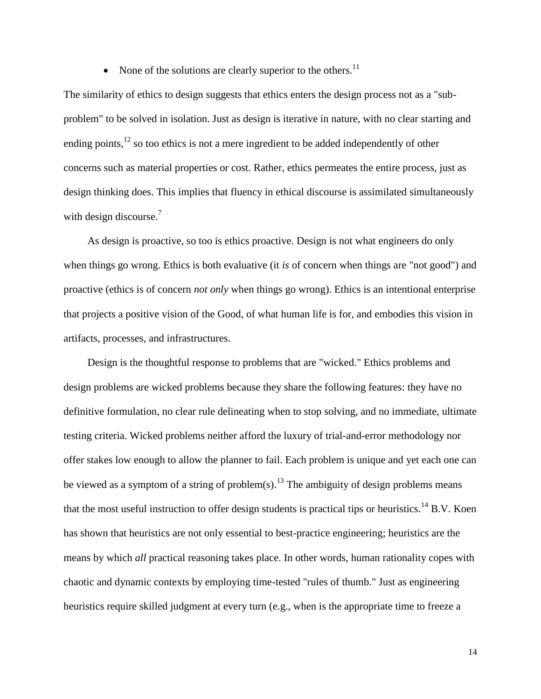• None of the solutions are clearly superior to the others.<sup>11</sup>

The similarity of ethics to design suggests that ethics enters the design process not as a "subproblem" to be solved in isolation. Just as design is iterative in nature, with no clear starting and ending points, $1^2$  so too ethics is not a mere ingredient to be added independently of other concerns such as material properties or cost. Rather, ethics permeates the entire process, just as design thinking does. This implies that fluency in ethical discourse is assimilated simultaneously with design discourse. $\frac{7}{7}$ 

As design is proactive, so too is ethics proactive. Design is not what engineers do only when things go wrong. Ethics is both evaluative (it *is* of concern when things are "not good") and proactive (ethics is of concern *not only* when things go wrong). Ethics is an intentional enterprise that projects a positive vision of the Good, of what human life is for, and embodies this vision in artifacts, processes, and infrastructures.

Design is the thoughtful response to problems that are "wicked." Ethics problems and design problems are wicked problems because they share the following features: they have no definitive formulation, no clear rule delineating when to stop solving, and no immediate, ultimate testing criteria. Wicked problems neither afford the luxury of trial-and-error methodology nor offer stakes low enough to allow the planner to fail. Each problem is unique and yet each one can be viewed as a symptom of a string of problem(s).<sup>13</sup> The ambiguity of design problems means that the most useful instruction to offer design students is practical tips or heuristics.<sup>14</sup> B.V. Koen has shown that heuristics are not only essential to best-practice engineering; heuristics are the means by which *all* practical reasoning takes place. In other words, human rationality copes with chaotic and dynamic contexts by employing time-tested "rules of thumb." Just as engineering heuristics require skilled judgment at every turn (e.g., when is the appropriate time to freeze a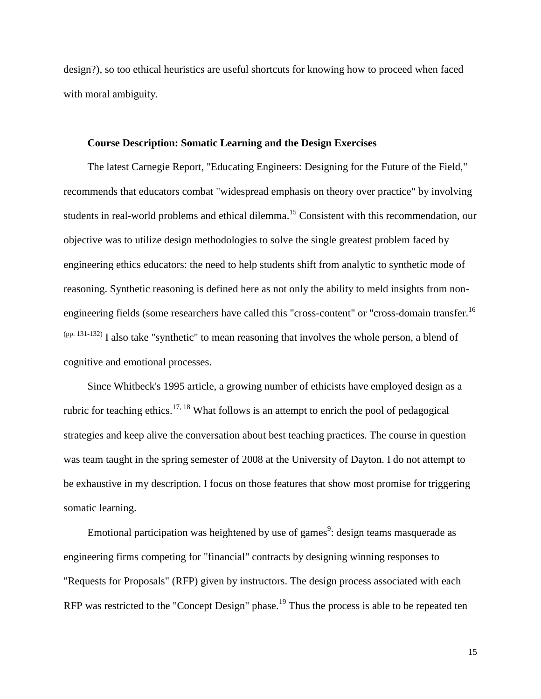design?), so too ethical heuristics are useful shortcuts for knowing how to proceed when faced with moral ambiguity.

#### **Course Description: Somatic Learning and the Design Exercises**

The latest Carnegie Report, "Educating Engineers: Designing for the Future of the Field," recommends that educators combat "widespread emphasis on theory over practice" by involving students in real-world problems and ethical dilemma.<sup>15</sup> Consistent with this recommendation, our objective was to utilize design methodologies to solve the single greatest problem faced by engineering ethics educators: the need to help students shift from analytic to synthetic mode of reasoning. Synthetic reasoning is defined here as not only the ability to meld insights from nonengineering fields (some researchers have called this "cross-content" or "cross-domain transfer.<sup>16</sup>  $(pp. 131-132)$  I also take "synthetic" to mean reasoning that involves the whole person, a blend of cognitive and emotional processes.

Since Whitbeck's 1995 article, a growing number of ethicists have employed design as a rubric for teaching ethics.<sup>17, 18</sup> What follows is an attempt to enrich the pool of pedagogical strategies and keep alive the conversation about best teaching practices. The course in question was team taught in the spring semester of 2008 at the University of Dayton. I do not attempt to be exhaustive in my description. I focus on those features that show most promise for triggering somatic learning.

Emotional participation was heightened by use of games<sup>9</sup>: design teams masquerade as engineering firms competing for "financial" contracts by designing winning responses to "Requests for Proposals" (RFP) given by instructors. The design process associated with each RFP was restricted to the "Concept Design" phase.<sup>19</sup> Thus the process is able to be repeated ten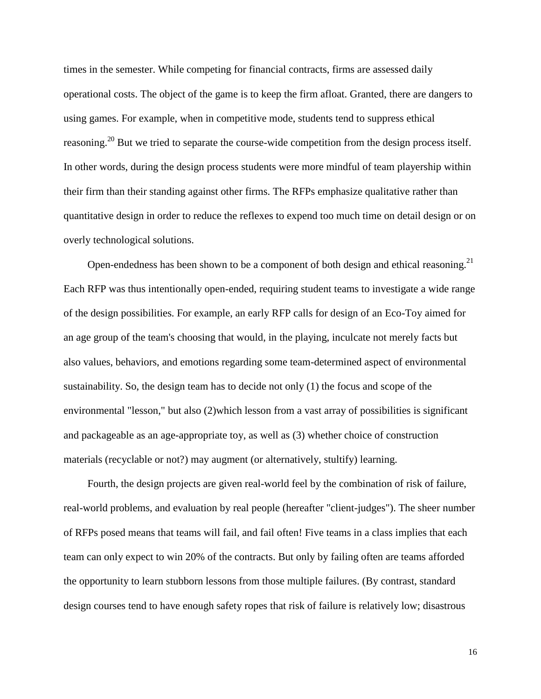times in the semester. While competing for financial contracts, firms are assessed daily operational costs. The object of the game is to keep the firm afloat. Granted, there are dangers to using games. For example, when in competitive mode, students tend to suppress ethical reasoning.<sup>20</sup> But we tried to separate the course-wide competition from the design process itself. In other words, during the design process students were more mindful of team playership within their firm than their standing against other firms. The RFPs emphasize qualitative rather than quantitative design in order to reduce the reflexes to expend too much time on detail design or on overly technological solutions.

Open-endedness has been shown to be a component of both design and ethical reasoning.<sup>21</sup> Each RFP was thus intentionally open-ended, requiring student teams to investigate a wide range of the design possibilities. For example, an early RFP calls for design of an Eco-Toy aimed for an age group of the team's choosing that would, in the playing, inculcate not merely facts but also values, behaviors, and emotions regarding some team-determined aspect of environmental sustainability. So, the design team has to decide not only (1) the focus and scope of the environmental "lesson," but also (2)which lesson from a vast array of possibilities is significant and packageable as an age-appropriate toy, as well as (3) whether choice of construction materials (recyclable or not?) may augment (or alternatively, stultify) learning.

Fourth, the design projects are given real-world feel by the combination of risk of failure, real-world problems, and evaluation by real people (hereafter "client-judges"). The sheer number of RFPs posed means that teams will fail, and fail often! Five teams in a class implies that each team can only expect to win 20% of the contracts. But only by failing often are teams afforded the opportunity to learn stubborn lessons from those multiple failures. (By contrast, standard design courses tend to have enough safety ropes that risk of failure is relatively low; disastrous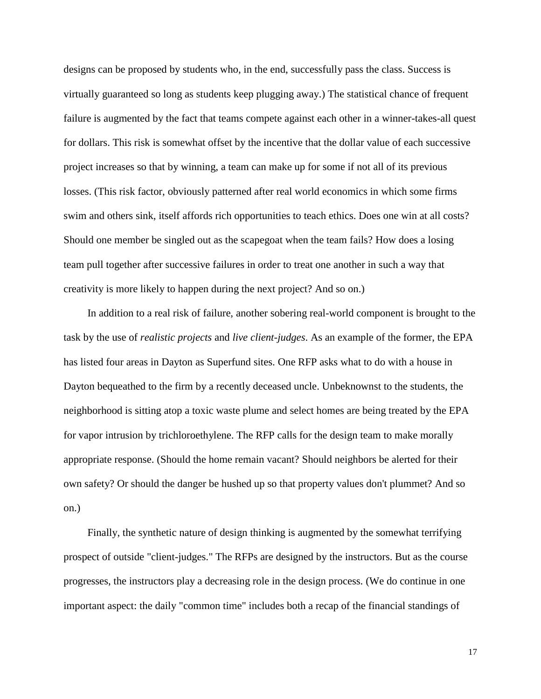designs can be proposed by students who, in the end, successfully pass the class. Success is virtually guaranteed so long as students keep plugging away.) The statistical chance of frequent failure is augmented by the fact that teams compete against each other in a winner-takes-all quest for dollars. This risk is somewhat offset by the incentive that the dollar value of each successive project increases so that by winning, a team can make up for some if not all of its previous losses. (This risk factor, obviously patterned after real world economics in which some firms swim and others sink, itself affords rich opportunities to teach ethics. Does one win at all costs? Should one member be singled out as the scapegoat when the team fails? How does a losing team pull together after successive failures in order to treat one another in such a way that creativity is more likely to happen during the next project? And so on.)

In addition to a real risk of failure, another sobering real-world component is brought to the task by the use of *realistic projects* and *live client-judges*. As an example of the former, the EPA has listed four areas in Dayton as Superfund sites. One RFP asks what to do with a house in Dayton bequeathed to the firm by a recently deceased uncle. Unbeknownst to the students, the neighborhood is sitting atop a toxic waste plume and select homes are being treated by the EPA for vapor intrusion by trichloroethylene. The RFP calls for the design team to make morally appropriate response. (Should the home remain vacant? Should neighbors be alerted for their own safety? Or should the danger be hushed up so that property values don't plummet? And so on.)

Finally, the synthetic nature of design thinking is augmented by the somewhat terrifying prospect of outside "client-judges." The RFPs are designed by the instructors. But as the course progresses, the instructors play a decreasing role in the design process. (We do continue in one important aspect: the daily "common time" includes both a recap of the financial standings of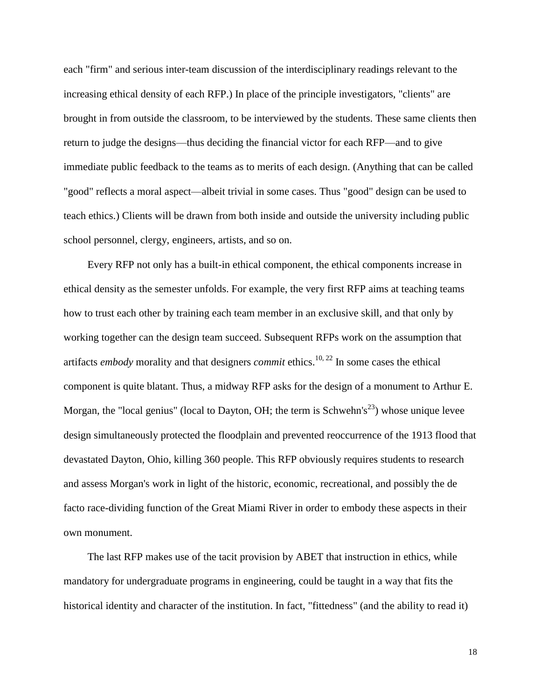each "firm" and serious inter-team discussion of the interdisciplinary readings relevant to the increasing ethical density of each RFP.) In place of the principle investigators, "clients" are brought in from outside the classroom, to be interviewed by the students. These same clients then return to judge the designs—thus deciding the financial victor for each RFP—and to give immediate public feedback to the teams as to merits of each design. (Anything that can be called "good" reflects a moral aspect—albeit trivial in some cases. Thus "good" design can be used to teach ethics.) Clients will be drawn from both inside and outside the university including public school personnel, clergy, engineers, artists, and so on.

Every RFP not only has a built-in ethical component, the ethical components increase in ethical density as the semester unfolds. For example, the very first RFP aims at teaching teams how to trust each other by training each team member in an exclusive skill, and that only by working together can the design team succeed. Subsequent RFPs work on the assumption that artifacts *embody* morality and that designers *commit* ethics.10, 22 In some cases the ethical component is quite blatant. Thus, a midway RFP asks for the design of a monument to Arthur E. Morgan, the "local genius" (local to Dayton, OH; the term is Schwehn's<sup>23</sup>) whose unique levee design simultaneously protected the floodplain and prevented reoccurrence of the 1913 flood that devastated Dayton, Ohio, killing 360 people. This RFP obviously requires students to research and assess Morgan's work in light of the historic, economic, recreational, and possibly the de facto race-dividing function of the Great Miami River in order to embody these aspects in their own monument.

The last RFP makes use of the tacit provision by ABET that instruction in ethics, while mandatory for undergraduate programs in engineering, could be taught in a way that fits the historical identity and character of the institution. In fact, "fittedness" (and the ability to read it)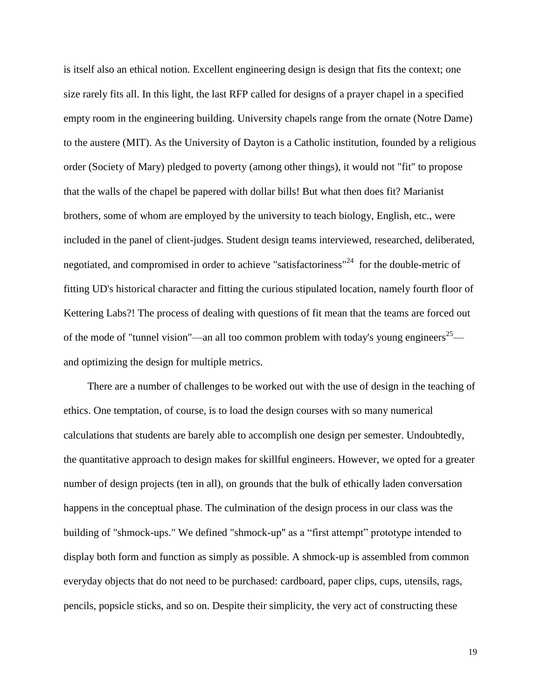is itself also an ethical notion. Excellent engineering design is design that fits the context; one size rarely fits all. In this light, the last RFP called for designs of a prayer chapel in a specified empty room in the engineering building. University chapels range from the ornate (Notre Dame) to the austere (MIT). As the University of Dayton is a Catholic institution, founded by a religious order (Society of Mary) pledged to poverty (among other things), it would not "fit" to propose that the walls of the chapel be papered with dollar bills! But what then does fit? Marianist brothers, some of whom are employed by the university to teach biology, English, etc., were included in the panel of client-judges. Student design teams interviewed, researched, deliberated, negotiated, and compromised in order to achieve "satisfactoriness"<sup>24</sup> for the double-metric of fitting UD's historical character and fitting the curious stipulated location, namely fourth floor of Kettering Labs?! The process of dealing with questions of fit mean that the teams are forced out of the mode of "tunnel vision"—an all too common problem with today's young engineers<sup>25</sup> and optimizing the design for multiple metrics.

There are a number of challenges to be worked out with the use of design in the teaching of ethics. One temptation, of course, is to load the design courses with so many numerical calculations that students are barely able to accomplish one design per semester. Undoubtedly, the quantitative approach to design makes for skillful engineers. However, we opted for a greater number of design projects (ten in all), on grounds that the bulk of ethically laden conversation happens in the conceptual phase. The culmination of the design process in our class was the building of "shmock-ups." We defined "shmock-up" as a "first attempt" prototype intended to display both form and function as simply as possible. A shmock-up is assembled from common everyday objects that do not need to be purchased: cardboard, paper clips, cups, utensils, rags, pencils, popsicle sticks, and so on. Despite their simplicity, the very act of constructing these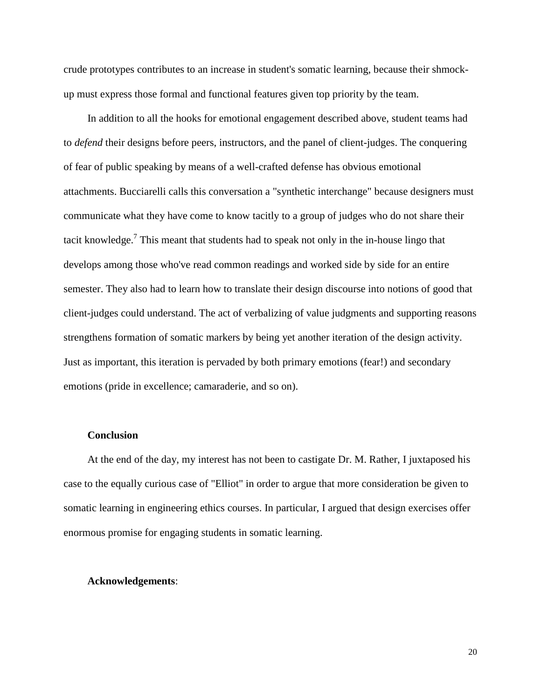crude prototypes contributes to an increase in student's somatic learning, because their shmockup must express those formal and functional features given top priority by the team.

In addition to all the hooks for emotional engagement described above, student teams had to *defend* their designs before peers, instructors, and the panel of client-judges. The conquering of fear of public speaking by means of a well-crafted defense has obvious emotional attachments. Bucciarelli calls this conversation a "synthetic interchange" because designers must communicate what they have come to know tacitly to a group of judges who do not share their tacit knowledge.<sup>7</sup> This meant that students had to speak not only in the in-house lingo that develops among those who've read common readings and worked side by side for an entire semester. They also had to learn how to translate their design discourse into notions of good that client-judges could understand. The act of verbalizing of value judgments and supporting reasons strengthens formation of somatic markers by being yet another iteration of the design activity. Just as important, this iteration is pervaded by both primary emotions (fear!) and secondary emotions (pride in excellence; camaraderie, and so on).

#### **Conclusion**

At the end of the day, my interest has not been to castigate Dr. M. Rather, I juxtaposed his case to the equally curious case of "Elliot" in order to argue that more consideration be given to somatic learning in engineering ethics courses. In particular, I argued that design exercises offer enormous promise for engaging students in somatic learning.

#### **Acknowledgements**: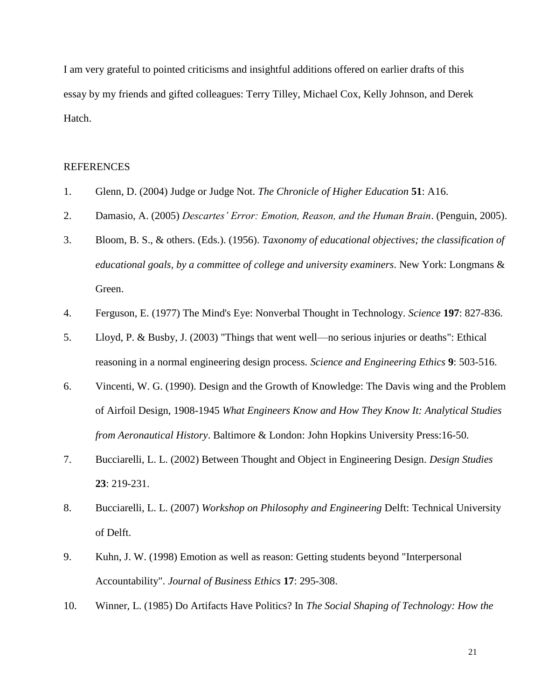I am very grateful to pointed criticisms and insightful additions offered on earlier drafts of this essay by my friends and gifted colleagues: Terry Tilley, Michael Cox, Kelly Johnson, and Derek Hatch.

#### REFERENCES

- 1. Glenn, D. (2004) Judge or Judge Not. *The Chronicle of Higher Education* **51**: A16.
- 2. Damasio, A. (2005) *Descartes' Error: Emotion, Reason, and the Human Brain*. (Penguin, 2005).
- 3. Bloom, B. S., & others. (Eds.). (1956). *Taxonomy of educational objectives; the classification of educational goals, by a committee of college and university examiners*. New York: Longmans & Green.
- 4. Ferguson, E. (1977) The Mind's Eye: Nonverbal Thought in Technology. *Science* **197**: 827-836.
- 5. Lloyd, P. & Busby, J. (2003) "Things that went well—no serious injuries or deaths": Ethical reasoning in a normal engineering design process. *Science and Engineering Ethics* **9**: 503-516.
- 6. Vincenti, W. G. (1990). Design and the Growth of Knowledge: The Davis wing and the Problem of Airfoil Design, 1908-1945 *What Engineers Know and How They Know It: Analytical Studies from Aeronautical History*. Baltimore & London: John Hopkins University Press:16-50.
- 7. Bucciarelli, L. L. (2002) Between Thought and Object in Engineering Design. *Design Studies* **23**: 219-231.
- 8. Bucciarelli, L. L. (2007) *Workshop on Philosophy and Engineering* Delft: Technical University of Delft.
- 9. Kuhn, J. W. (1998) Emotion as well as reason: Getting students beyond "Interpersonal Accountability". *Journal of Business Ethics* **17**: 295-308.
- 10. Winner, L. (1985) Do Artifacts Have Politics? In *The Social Shaping of Technology: How the*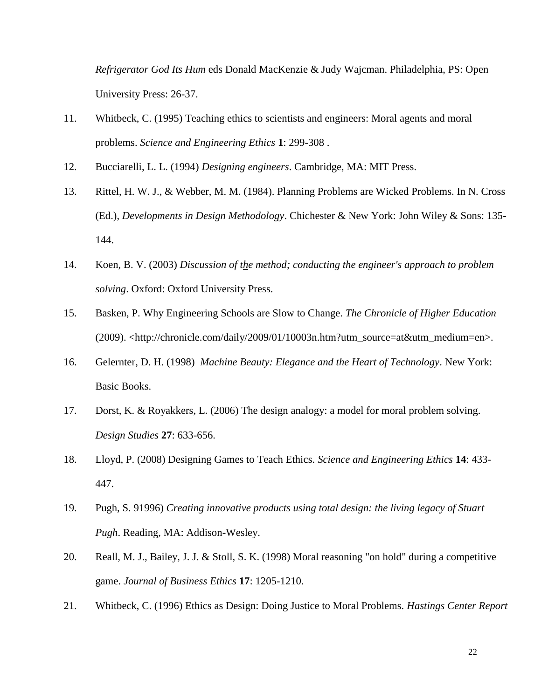*Refrigerator God Its Hum* eds Donald MacKenzie & Judy Wajcman. Philadelphia, PS: Open University Press: 26-37.

- 11. Whitbeck, C. (1995) Teaching ethics to scientists and engineers: Moral agents and moral problems. *Science and Engineering Ethics* **1**: 299-308 .
- 12. Bucciarelli, L. L. (1994) *Designing engineers*. Cambridge, MA: MIT Press.
- 13. Rittel, H. W. J., & Webber, M. M. (1984). Planning Problems are Wicked Problems. In N. Cross (Ed.), *Developments in Design Methodology*. Chichester & New York: John Wiley & Sons: 135- 144.
- 14. Koen, B. V. (2003) *Discussion of the method; conducting the engineer's approach to problem solving*. Oxford: Oxford University Press.
- 15. Basken, P. Why Engineering Schools are Slow to Change. *The Chronicle of Higher Education* (2009). <http://chronicle.com/daily/2009/01/10003n.htm?utm\_source=at&utm\_medium=en>.
- 16. Gelernter, D. H. (1998) *Machine Beauty: Elegance and the Heart of Technology*. New York: Basic Books.
- 17. Dorst, K. & Royakkers, L. (2006) The design analogy: a model for moral problem solving. *Design Studies* **27**: 633-656.
- 18. Lloyd, P. (2008) Designing Games to Teach Ethics. *Science and Engineering Ethics* **14**: 433- 447.
- 19. Pugh, S. 91996) *Creating innovative products using total design: the living legacy of Stuart Pugh*. Reading, MA: Addison-Wesley.
- 20. Reall, M. J., Bailey, J. J. & Stoll, S. K. (1998) Moral reasoning "on hold" during a competitive game. *Journal of Business Ethics* **17**: 1205-1210.
- 21. Whitbeck, C. (1996) Ethics as Design: Doing Justice to Moral Problems. *Hastings Center Report*